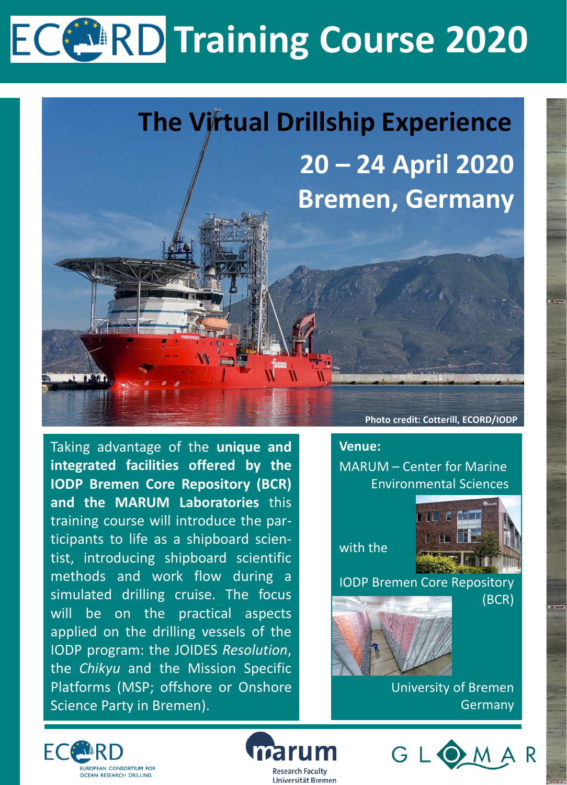# **ECCERD Training Course 2020**



Taking advantage of the **unique and integrated facilities offered by the IODP Bremen Core Repository (BCR) and the MARUM Laboratories** this training course will introduce the participants to life as a shipboard scientist, introducing shipboard scientific methods and work flow during a simulated drilling cruise. The focus will be on the practical aspects applied on the drilling vessels of the IODP program: the JOIDES *Resolution*, the *Chikyu* and the Mission Specific Platforms (MSP; offshore or Onshore Science Party in Bremen).

**Photo credit: Cotterill, ECORD/IODP**

## **Venue:**

MARUM – Center for Marine Environmental Sciences

with the



IODP Bremen Core Repository

(BCR)



University of Bremen Germany